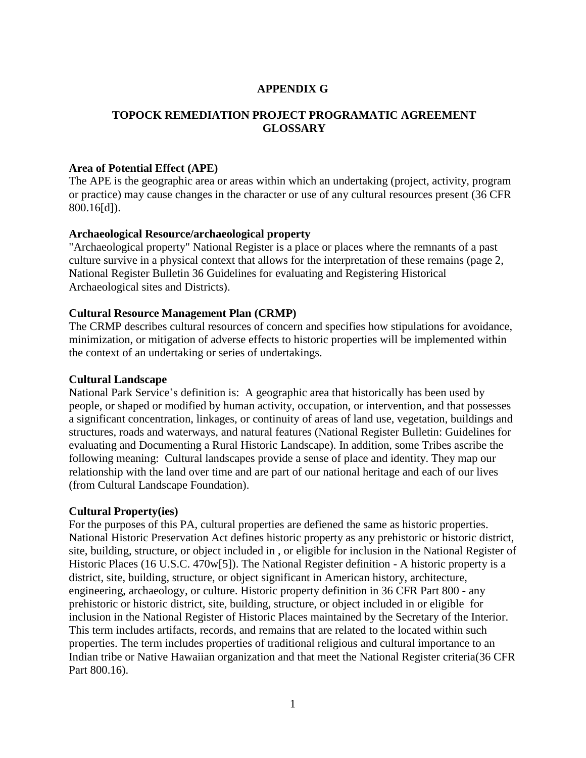### **APPENDIX G**

# **TOPOCK REMEDIATION PROJECT PROGRAMATIC AGREEMENT GLOSSARY**

#### **Area of Potential Effect (APE)**

The APE is the geographic area or areas within which an undertaking (project, activity, program or practice) may cause changes in the character or use of any cultural resources present (36 CFR 800.16[d]).

#### **Archaeological Resource/archaeological property**

"Archaeological property" National Register is a place or places where the remnants of a past culture survive in a physical context that allows for the interpretation of these remains (page 2, National Register Bulletin 36 Guidelines for evaluating and Registering Historical Archaeological sites and Districts).

#### **Cultural Resource Management Plan (CRMP)**

The CRMP describes cultural resources of concern and specifies how stipulations for avoidance, minimization, or mitigation of adverse effects to historic properties will be implemented within the context of an undertaking or series of undertakings.

#### **Cultural Landscape**

National Park Service's definition is: A geographic area that historically has been used by people, or shaped or modified by human activity, occupation, or intervention, and that possesses a significant concentration, linkages, or continuity of areas of land use, vegetation, buildings and structures, roads and waterways, and natural features (National Register Bulletin: Guidelines for evaluating and Documenting a Rural Historic Landscape). In addition, some Tribes ascribe the following meaning: Cultural landscapes provide a sense of place and identity. They map our relationship with the land over time and are part of our national heritage and each of our lives (from Cultural Landscape Foundation).

#### **Cultural Property(ies)**

For the purposes of this PA, cultural properties are defiened the same as historic properties. National Historic Preservation Act defines historic property as any prehistoric or historic district, site, building, structure, or object included in , or eligible for inclusion in the National Register of Historic Places (16 U.S.C. 470w[5]). The National Register definition - A historic property is a district, site, building, structure, or object significant in American history, architecture, engineering, archaeology, or culture. Historic property definition in 36 CFR Part 800 - any prehistoric or historic district, site, building, structure, or object included in or eligible for inclusion in the National Register of Historic Places maintained by the Secretary of the Interior. This term includes artifacts, records, and remains that are related to the located within such properties. The term includes properties of traditional religious and cultural importance to an Indian tribe or Native Hawaiian organization and that meet the National Register criteria(36 CFR Part 800.16).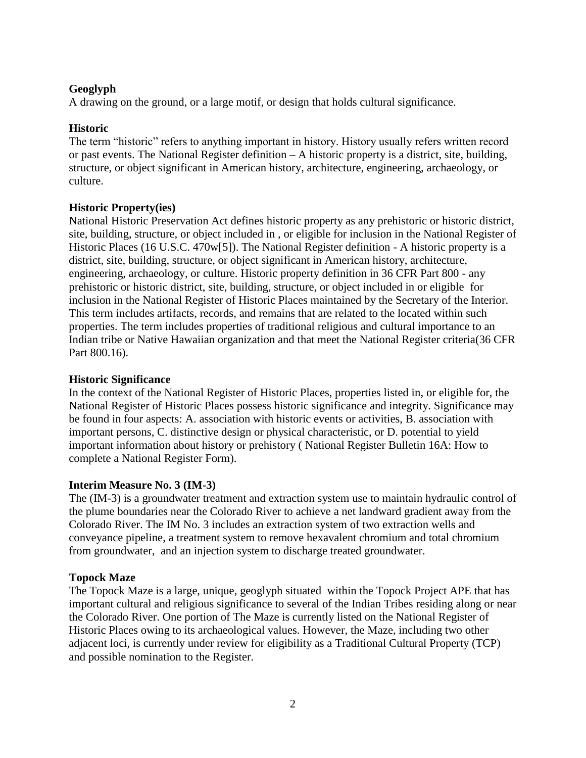# **Geoglyph**

A drawing on the ground, or a large motif, or design that holds cultural significance.

# **Historic**

The term "historic" refers to anything important in history. History usually refers written record or past events. The National Register definition – A historic property is a district, site, building, structure, or object significant in American history, architecture, engineering, archaeology, or culture.

# **Historic Property(ies)**

National Historic Preservation Act defines historic property as any prehistoric or historic district, site, building, structure, or object included in , or eligible for inclusion in the National Register of Historic Places (16 U.S.C. 470w[5]). The National Register definition - A historic property is a district, site, building, structure, or object significant in American history, architecture, engineering, archaeology, or culture. Historic property definition in 36 CFR Part 800 - any prehistoric or historic district, site, building, structure, or object included in or eligible for inclusion in the National Register of Historic Places maintained by the Secretary of the Interior. This term includes artifacts, records, and remains that are related to the located within such properties. The term includes properties of traditional religious and cultural importance to an Indian tribe or Native Hawaiian organization and that meet the National Register criteria(36 CFR Part 800.16).

### **Historic Significance**

In the context of the National Register of Historic Places, properties listed in, or eligible for, the National Register of Historic Places possess historic significance and integrity. Significance may be found in four aspects: A. association with historic events or activities, B. association with important persons, C. distinctive design or physical characteristic, or D. potential to yield important information about history or prehistory ( National Register Bulletin 16A: How to complete a National Register Form).

### **Interim Measure No. 3 (IM-3)**

The (IM-3) is a groundwater treatment and extraction system use to maintain hydraulic control of the plume boundaries near the Colorado River to achieve a net landward gradient away from the Colorado River. The IM No. 3 includes an extraction system of two extraction wells and conveyance pipeline, a treatment system to remove hexavalent chromium and total chromium from groundwater, and an injection system to discharge treated groundwater.

### **Topock Maze**

The Topock Maze is a large, unique, geoglyph situated within the Topock Project APE that has important cultural and religious significance to several of the Indian Tribes residing along or near the Colorado River. One portion of The Maze is currently listed on the National Register of Historic Places owing to its archaeological values. However, the Maze, including two other adjacent loci, is currently under review for eligibility as a Traditional Cultural Property (TCP) and possible nomination to the Register.